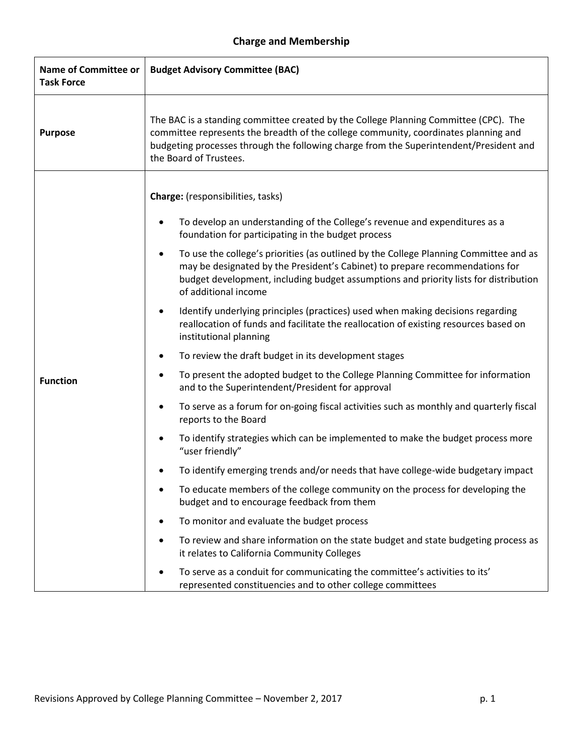## **Charge and Membership**

| <b>Name of Committee or</b><br><b>Task Force</b> | <b>Budget Advisory Committee (BAC)</b>                                                                                                                                                                                                                                                             |  |  |
|--------------------------------------------------|----------------------------------------------------------------------------------------------------------------------------------------------------------------------------------------------------------------------------------------------------------------------------------------------------|--|--|
| <b>Purpose</b>                                   | The BAC is a standing committee created by the College Planning Committee (CPC). The<br>committee represents the breadth of the college community, coordinates planning and<br>budgeting processes through the following charge from the Superintendent/President and<br>the Board of Trustees.    |  |  |
|                                                  | Charge: (responsibilities, tasks)                                                                                                                                                                                                                                                                  |  |  |
|                                                  | To develop an understanding of the College's revenue and expenditures as a<br>$\bullet$<br>foundation for participating in the budget process                                                                                                                                                      |  |  |
|                                                  | To use the college's priorities (as outlined by the College Planning Committee and as<br>$\bullet$<br>may be designated by the President's Cabinet) to prepare recommendations for<br>budget development, including budget assumptions and priority lists for distribution<br>of additional income |  |  |
|                                                  | Identify underlying principles (practices) used when making decisions regarding<br>$\bullet$<br>reallocation of funds and facilitate the reallocation of existing resources based on<br>institutional planning                                                                                     |  |  |
|                                                  | To review the draft budget in its development stages<br>$\bullet$                                                                                                                                                                                                                                  |  |  |
| <b>Function</b>                                  | To present the adopted budget to the College Planning Committee for information<br>٠<br>and to the Superintendent/President for approval                                                                                                                                                           |  |  |
|                                                  | To serve as a forum for on-going fiscal activities such as monthly and quarterly fiscal<br>$\bullet$<br>reports to the Board                                                                                                                                                                       |  |  |
|                                                  | To identify strategies which can be implemented to make the budget process more<br>$\bullet$<br>"user friendly"                                                                                                                                                                                    |  |  |
|                                                  | To identify emerging trends and/or needs that have college-wide budgetary impact                                                                                                                                                                                                                   |  |  |
|                                                  | To educate members of the college community on the process for developing the<br>٠<br>budget and to encourage feedback from them                                                                                                                                                                   |  |  |
|                                                  | To monitor and evaluate the budget process<br>٠                                                                                                                                                                                                                                                    |  |  |
|                                                  | To review and share information on the state budget and state budgeting process as<br>$\bullet$<br>it relates to California Community Colleges                                                                                                                                                     |  |  |
|                                                  | To serve as a conduit for communicating the committee's activities to its'<br>$\bullet$<br>represented constituencies and to other college committees                                                                                                                                              |  |  |